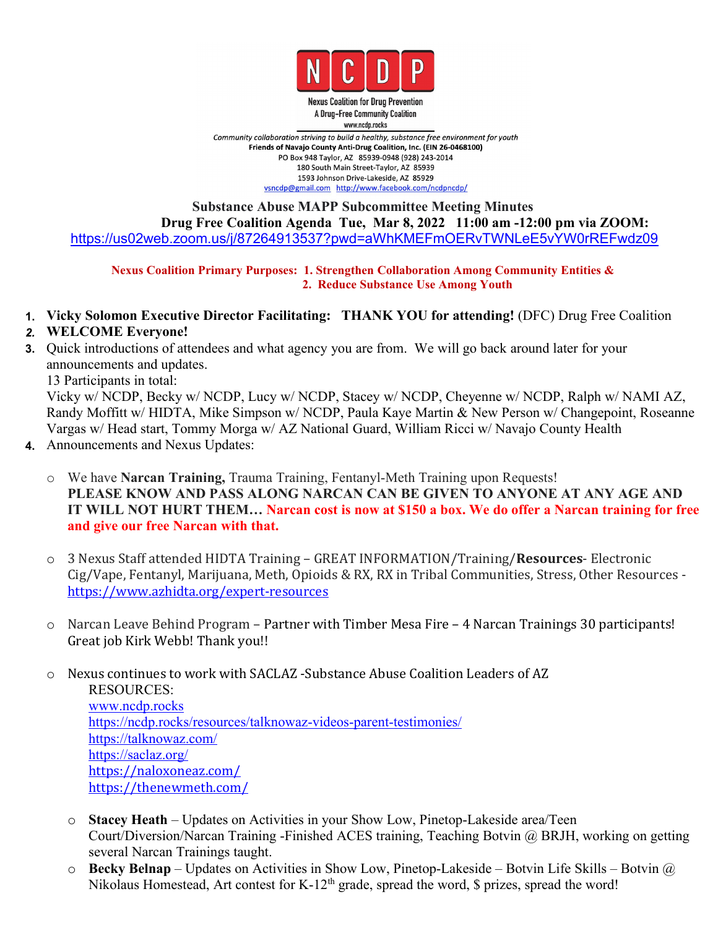

**Nexus Coalition for Drug Prevention** A Drug-Free Community Coalition www.ncdp.rocks

Community collaboration striving to build a healthy, substance free environment for youth Friends of Navajo County Anti-Drug Coalition, Inc. (EIN 26-0468100) PO Box 948 Taylor, AZ 85939-0948 (928) 243-2014 180 South Main Street-Taylor, AZ 85939 1593 Johnson Drive-Lakeside, AZ 85929 vsncdp@gmail.com http://www.facebook.com/ncdpncdp/

#### **Substance Abuse MAPP Subcommittee Meeting Minutes Drug Free Coalition Agenda Tue, Mar 8, 2022 11:00 am -12:00 pm via ZOOM:** <https://us02web.zoom.us/j/87264913537?pwd=aWhKMEFmOERvTWNLeE5vYW0rREFwdz09>

**Nexus Coalition Primary Purposes: 1. Strengthen Collaboration Among Community Entities & 2. Reduce Substance Use Among Youth**

**1. Vicky Solomon Executive Director Facilitating: THANK YOU for attending!** (DFC) Drug Free Coalition

#### *2.* **WELCOME Everyone!**

**3.** Quick introductions of attendees and what agency you are from. We will go back around later for your announcements and updates.

13 Participants in total:

Vicky w/ NCDP, Becky w/ NCDP, Lucy w/ NCDP, Stacey w/ NCDP, Cheyenne w/ NCDP, Ralph w/ NAMI AZ, Randy Moffitt w/ HIDTA, Mike Simpson w/ NCDP, Paula Kaye Martin & New Person w/ Changepoint, Roseanne Vargas w/ Head start, Tommy Morga w/ AZ National Guard, William Ricci w/ Navajo County Health

- **4.** Announcements and Nexus Updates:
	- o We have **Narcan Training,** Trauma Training, Fentanyl-Meth Training upon Requests! **PLEASE KNOW AND PASS ALONG NARCAN CAN BE GIVEN TO ANYONE AT ANY AGE AND** IT WILL NOT HURT THEM... Narcan cost is now at \$150 a box. We do offer a Narcan training for free **and give our free Narcan with that.**
	- o 3 Nexus Staff attended HIDTA Training GREAT INFORMATION/Training/**Resources** Electronic Cig/Vape, Fentanyl, Marijuana, Meth, Opioids & RX, RX in Tribal Communities, Stress, Other Resources <https://www.azhidta.org/expert-resources>
	- o Narcan Leave Behind Program Partner with Timber Mesa Fire 4 Narcan Trainings 30 participants! Great job Kirk Webb! Thank you!!
	- o Nexus continues to work with SACLAZ -Substance Abuse Coalition Leaders of AZ RESOURCES: [www.ncdp.rocks](http://www.ncdp.rocks) <https://ncdp.rocks/resources/talknowaz-videos-parent-testimonies/> [https://talknowaz.com/](https://www.google.com/url?q=https://talknowaz.com/&sa=D&source=calendar&usd=2&usg=AOvVaw3oaiE00kVKA5zY7O6hL5r7) [https://saclaz.org/](https://www.google.com/url?q=https://saclaz.org/&sa=D&source=calendar&usd=2&usg=AOvVaw2DJgzl5DWUkcQJ3xLlsE15) [https://naloxoneaz.com/](https://www.google.com/url?q=https://naloxoneaz.com/&sa=D&source=calendar&usd=2&usg=AOvVaw29DHHlCYkYtuf9R0VnQi-p) <https://thenewmeth.com/>
		- o **Stacey Heath** Updates on Activities in your Show Low, Pinetop-Lakeside area/Teen Court/Diversion/Narcan Training -Finished ACES training, Teaching Botvin @ BRJH, working on getting several Narcan Trainings taught.
		- o **Becky Belnap** Updates on Activities in Show Low, Pinetop-Lakeside Botvin Life Skills Botvin @ Nikolaus Homestead, Art contest for K-12<sup>th</sup> grade, spread the word, \$ prizes, spread the word!